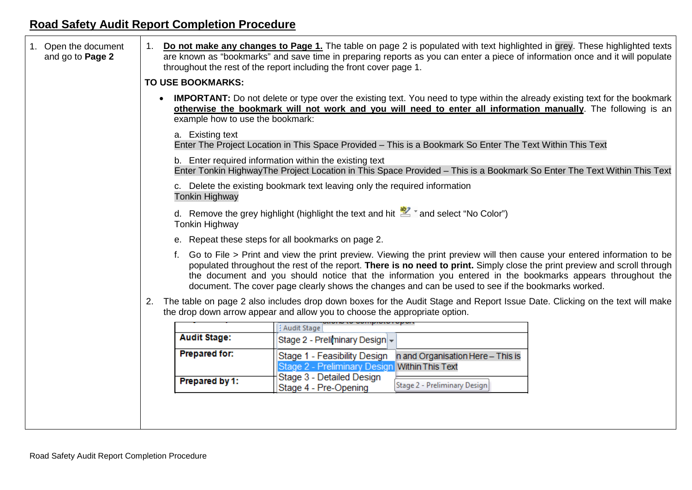## **Road Safety Audit Report Completion Procedure**

| 1. Open the document<br>and go to Page 2 | 1. Do not make any changes to Page 1. The table on page 2 is populated with text highlighted in grey. These highlighted texts<br>are known as "bookmarks" and save time in preparing reports as you can enter a piece of information once and it will populate<br>throughout the rest of the report including the front cover page 1.                                                                                                                                        |
|------------------------------------------|------------------------------------------------------------------------------------------------------------------------------------------------------------------------------------------------------------------------------------------------------------------------------------------------------------------------------------------------------------------------------------------------------------------------------------------------------------------------------|
|                                          | <b>TO USE BOOKMARKS:</b>                                                                                                                                                                                                                                                                                                                                                                                                                                                     |
|                                          | <b>IMPORTANT:</b> Do not delete or type over the existing text. You need to type within the already existing text for the bookmark<br>otherwise the bookmark will not work and you will need to enter all information manually. The following is an<br>example how to use the bookmark:                                                                                                                                                                                      |
|                                          | a. Existing text<br>Enter The Project Location in This Space Provided - This is a Bookmark So Enter The Text Within This Text                                                                                                                                                                                                                                                                                                                                                |
|                                          | b. Enter required information within the existing text<br>Enter Tonkin HighwayThe Project Location in This Space Provided - This is a Bookmark So Enter The Text Within This Text                                                                                                                                                                                                                                                                                            |
|                                          | c. Delete the existing bookmark text leaving only the required information<br><b>Tonkin Highway</b>                                                                                                                                                                                                                                                                                                                                                                          |
|                                          | d. Remove the grey highlight (highlight the text and hit $\mathbb{Z}$ and select "No Color")<br><b>Tonkin Highway</b>                                                                                                                                                                                                                                                                                                                                                        |
|                                          | e. Repeat these steps for all bookmarks on page 2.                                                                                                                                                                                                                                                                                                                                                                                                                           |
|                                          | f. Go to File > Print and view the print preview. Viewing the print preview will then cause your entered information to be<br>populated throughout the rest of the report. There is no need to print. Simply close the print preview and scroll through<br>the document and you should notice that the information you entered in the bookmarks appears throughout the<br>document. The cover page clearly shows the changes and can be used to see if the bookmarks worked. |
|                                          | The table on page 2 also includes drop down boxes for the Audit Stage and Report Issue Date. Clicking on the text will make<br>2.<br>the drop down arrow appear and allow you to choose the appropriate option.                                                                                                                                                                                                                                                              |
|                                          | : Audit Stage                                                                                                                                                                                                                                                                                                                                                                                                                                                                |
|                                          | <b>Audit Stage:</b><br>Stage 2 - Preliminary Design -                                                                                                                                                                                                                                                                                                                                                                                                                        |
|                                          | <b>Prepared for:</b><br>Stage 1 - Feasibility Design n and Organisation Here - This is<br>Stage 2 - Preliminary Design Within This Text                                                                                                                                                                                                                                                                                                                                      |
|                                          | Stage 3 - Detailed Design<br>Prepared by 1:<br>Stage 2 - Preliminary Design<br>Stage 4 - Pre-Opening                                                                                                                                                                                                                                                                                                                                                                         |
|                                          |                                                                                                                                                                                                                                                                                                                                                                                                                                                                              |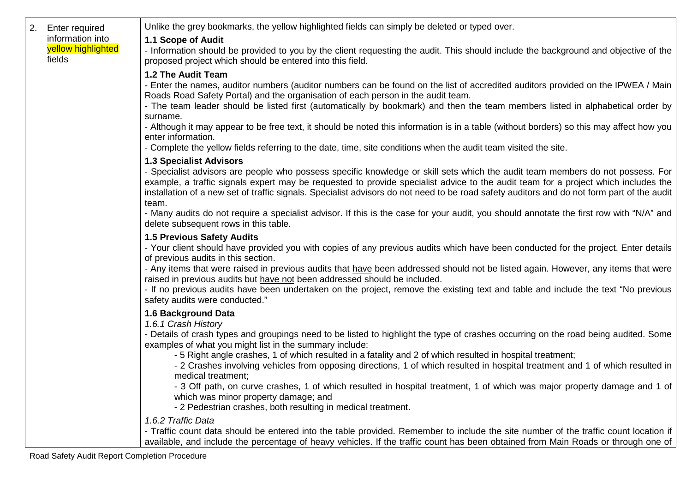| 2. | <b>Enter required</b>                            | Unlike the grey bookmarks, the yellow highlighted fields can simply be deleted or typed over.                                                                                                                                                                                                                                                                                                                                                                                                                                                                                                                                                                                                                                                        |
|----|--------------------------------------------------|------------------------------------------------------------------------------------------------------------------------------------------------------------------------------------------------------------------------------------------------------------------------------------------------------------------------------------------------------------------------------------------------------------------------------------------------------------------------------------------------------------------------------------------------------------------------------------------------------------------------------------------------------------------------------------------------------------------------------------------------------|
|    | information into<br>yellow highlighted<br>fields | 1.1 Scope of Audit<br>- Information should be provided to you by the client requesting the audit. This should include the background and objective of the<br>proposed project which should be entered into this field.                                                                                                                                                                                                                                                                                                                                                                                                                                                                                                                               |
|    |                                                  | 1.2 The Audit Team<br>- Enter the names, auditor numbers (auditor numbers can be found on the list of accredited auditors provided on the IPWEA / Main<br>Roads Road Safety Portal) and the organisation of each person in the audit team.<br>- The team leader should be listed first (automatically by bookmark) and then the team members listed in alphabetical order by<br>surname.<br>- Although it may appear to be free text, it should be noted this information is in a table (without borders) so this may affect how you<br>enter information.<br>- Complete the yellow fields referring to the date, time, site conditions when the audit team visited the site.                                                                        |
|    |                                                  | <b>1.3 Specialist Advisors</b><br>- Specialist advisors are people who possess specific knowledge or skill sets which the audit team members do not possess. For<br>example, a traffic signals expert may be requested to provide specialist advice to the audit team for a project which includes the<br>installation of a new set of traffic signals. Specialist advisors do not need to be road safety auditors and do not form part of the audit<br>team.<br>- Many audits do not require a specialist advisor. If this is the case for your audit, you should annotate the first row with "N/A" and<br>delete subsequent rows in this table.                                                                                                    |
|    |                                                  | 1.5 Previous Safety Audits<br>- Your client should have provided you with copies of any previous audits which have been conducted for the project. Enter details<br>of previous audits in this section.<br>- Any items that were raised in previous audits that have been addressed should not be listed again. However, any items that were<br>raised in previous audits but have not been addressed should be included.<br>- If no previous audits have been undertaken on the project, remove the existing text and table and include the text "No previous<br>safety audits were conducted."                                                                                                                                                     |
|    |                                                  | 1.6 Background Data<br>1.6.1 Crash History<br>- Details of crash types and groupings need to be listed to highlight the type of crashes occurring on the road being audited. Some<br>examples of what you might list in the summary include:<br>- 5 Right angle crashes, 1 of which resulted in a fatality and 2 of which resulted in hospital treatment;<br>- 2 Crashes involving vehicles from opposing directions, 1 of which resulted in hospital treatment and 1 of which resulted in<br>medical treatment;<br>- 3 Off path, on curve crashes, 1 of which resulted in hospital treatment, 1 of which was major property damage and 1 of<br>which was minor property damage; and<br>- 2 Pedestrian crashes, both resulting in medical treatment. |
|    |                                                  | 1.6.2 Traffic Data<br>- Traffic count data should be entered into the table provided. Remember to include the site number of the traffic count location if<br>available, and include the percentage of heavy vehicles. If the traffic count has been obtained from Main Roads or through one of                                                                                                                                                                                                                                                                                                                                                                                                                                                      |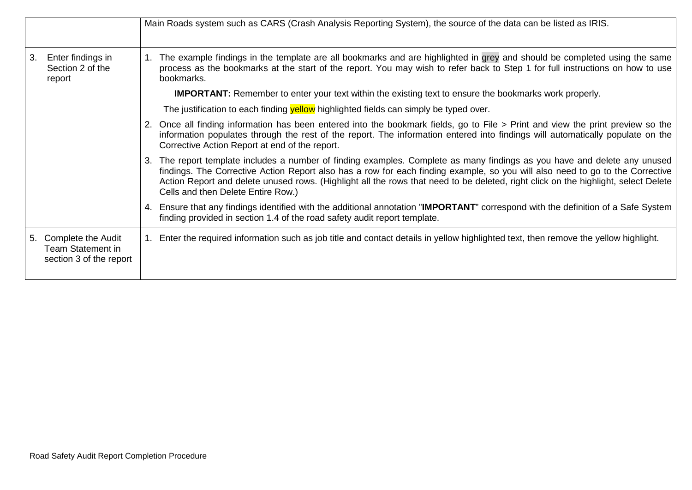|    |                                                                       | Main Roads system such as CARS (Crash Analysis Reporting System), the source of the data can be listed as IRIS.                                                                                                                                                                                                                                                                                                                           |
|----|-----------------------------------------------------------------------|-------------------------------------------------------------------------------------------------------------------------------------------------------------------------------------------------------------------------------------------------------------------------------------------------------------------------------------------------------------------------------------------------------------------------------------------|
| 3. | Enter findings in<br>Section 2 of the<br>report                       | The example findings in the template are all bookmarks and are highlighted in grey and should be completed using the same<br>process as the bookmarks at the start of the report. You may wish to refer back to Step 1 for full instructions on how to use<br>bookmarks.                                                                                                                                                                  |
|    |                                                                       | <b>IMPORTANT:</b> Remember to enter your text within the existing text to ensure the bookmarks work properly.                                                                                                                                                                                                                                                                                                                             |
|    |                                                                       | The justification to each finding <b>yellow</b> highlighted fields can simply be typed over.                                                                                                                                                                                                                                                                                                                                              |
|    |                                                                       | Once all finding information has been entered into the bookmark fields, go to File > Print and view the print preview so the<br>information populates through the rest of the report. The information entered into findings will automatically populate on the<br>Corrective Action Report at end of the report.                                                                                                                          |
|    |                                                                       | The report template includes a number of finding examples. Complete as many findings as you have and delete any unused<br>3.<br>findings. The Corrective Action Report also has a row for each finding example, so you will also need to go to the Corrective<br>Action Report and delete unused rows. (Highlight all the rows that need to be deleted, right click on the highlight, select Delete<br>Cells and then Delete Entire Row.) |
|    |                                                                       | Ensure that any findings identified with the additional annotation "IMPORTANT" correspond with the definition of a Safe System<br>finding provided in section 1.4 of the road safety audit report template.                                                                                                                                                                                                                               |
|    | 5. Complete the Audit<br>Team Statement in<br>section 3 of the report | Enter the required information such as job title and contact details in yellow highlighted text, then remove the yellow highlight.                                                                                                                                                                                                                                                                                                        |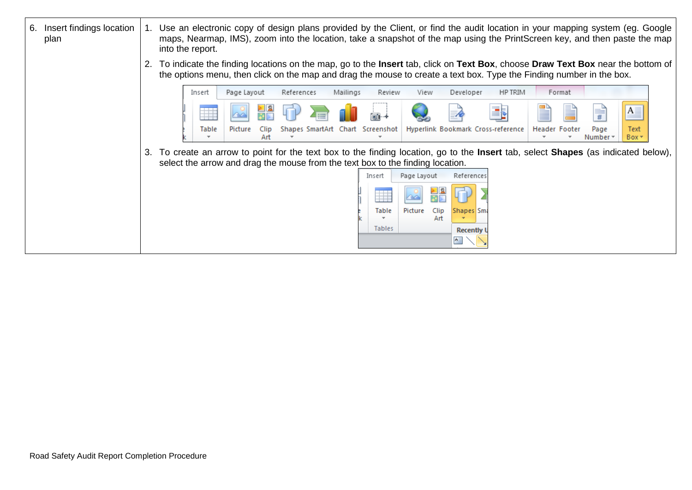| Insert findings location<br>6.<br>plan | 1. Use an electronic copy of design plans provided by the Client, or find the audit location in your mapping system (eg. Google<br>maps, Nearmap, IMS), zoom into the location, take a snapshot of the map using the PrintScreen key, and then paste the map<br>into the report.                                                                                      |
|----------------------------------------|-----------------------------------------------------------------------------------------------------------------------------------------------------------------------------------------------------------------------------------------------------------------------------------------------------------------------------------------------------------------------|
|                                        | 2. To indicate the finding locations on the map, go to the <b>Insert</b> tab, click on Text Box, choose Draw Text Box near the bottom of<br>the options menu, then click on the map and drag the mouse to create a text box. Type the Finding number in the box.                                                                                                      |
|                                        | HP TRIM<br>Page Layout<br>References<br>Mailings<br>Review<br>Developer<br>Insert<br>View<br>Format                                                                                                                                                                                                                                                                   |
|                                        | $A \equiv$<br>₩<br>丑<br>Shapes SmartArt Chart Screenshot<br>Hyperlink Bookmark Cross-reference<br>Table<br>Picture<br><b>Header Footer</b><br>Text<br>Clip<br>Page<br>Art<br>Number *<br>Box                                                                                                                                                                          |
|                                        | 3. To create an arrow to point for the text box to the finding location, go to the <b>Insert</b> tab, select <b>Shapes</b> (as indicated below),<br>select the arrow and drag the mouse from the text box to the finding location.<br>Page Layout<br>References<br>Insert<br>Ħ<br>Clip<br>Picture<br><b>Table</b><br>Shapes Sma<br>Art<br>Tables<br><b>Recently U</b> |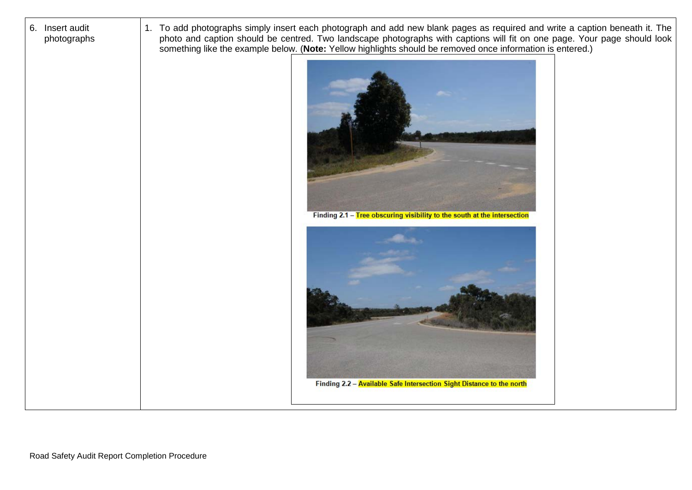